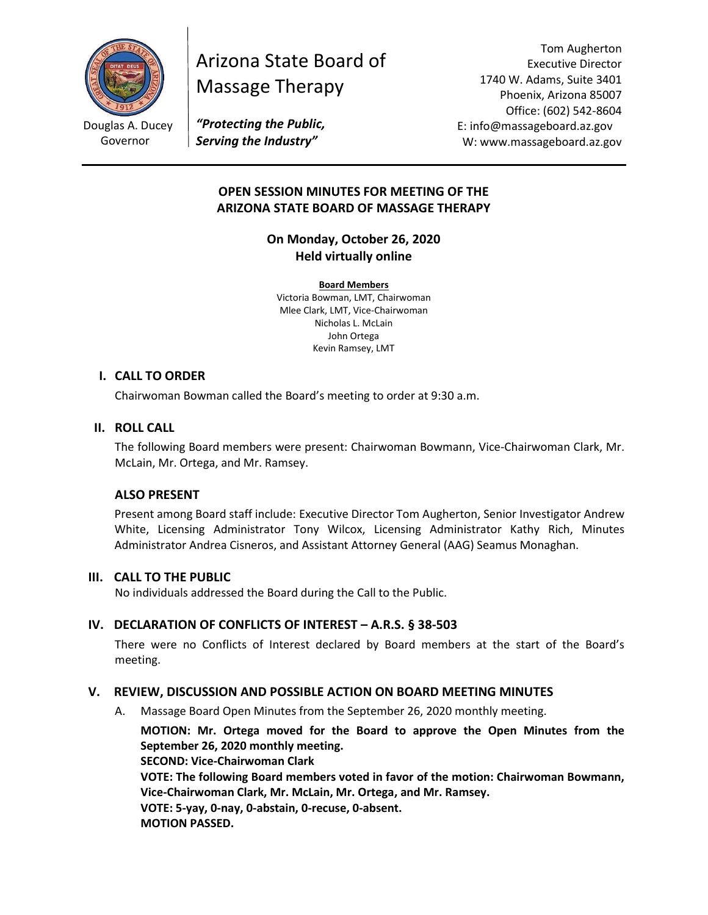

# Arizona State Board of Massage Therapy

Tom Augherton Executive Director 1740 W. Adams, Suite 3401 Phoenix, Arizona 85007 Office: (602) 542-8604 E: info@massageboard.az.gov W: www.massageboard.az.gov

*"Protecting the Public, Serving the Industry"*

# **OPEN SESSION MINUTES FOR MEETING OF THE ARIZONA STATE BOARD OF MASSAGE THERAPY**

**On Monday, October 26, 2020 Held virtually online** 

**Board Members** Victoria Bowman, LMT, Chairwoman Mlee Clark, LMT, Vice-Chairwoman Nicholas L. McLain John Ortega Kevin Ramsey, LMT

## **I. CALL TO ORDER**

Chairwoman Bowman called the Board's meeting to order at 9:30 a.m.

## **II. ROLL CALL**

The following Board members were present: Chairwoman Bowmann, Vice-Chairwoman Clark, Mr. McLain, Mr. Ortega, and Mr. Ramsey.

# **ALSO PRESENT**

Present among Board staff include: Executive Director Tom Augherton, Senior Investigator Andrew White, Licensing Administrator Tony Wilcox, Licensing Administrator Kathy Rich, Minutes Administrator Andrea Cisneros, and Assistant Attorney General (AAG) Seamus Monaghan.

## **III. CALL TO THE PUBLIC**

No individuals addressed the Board during the Call to the Public.

# **IV. DECLARATION OF CONFLICTS OF INTEREST – A.R.S. § 38-503**

There were no Conflicts of Interest declared by Board members at the start of the Board's meeting.

# **V. REVIEW, DISCUSSION AND POSSIBLE ACTION ON BOARD MEETING MINUTES**

A. Massage Board Open Minutes from the September 26, 2020 monthly meeting.

**MOTION: Mr. Ortega moved for the Board to approve the Open Minutes from the September 26, 2020 monthly meeting.** 

**SECOND: Vice-Chairwoman Clark** 

**VOTE: The following Board members voted in favor of the motion: Chairwoman Bowmann, Vice-Chairwoman Clark, Mr. McLain, Mr. Ortega, and Mr. Ramsey.**

**VOTE: 5-yay, 0-nay, 0-abstain, 0-recuse, 0-absent. MOTION PASSED.** 

Douglas A. Ducey Governor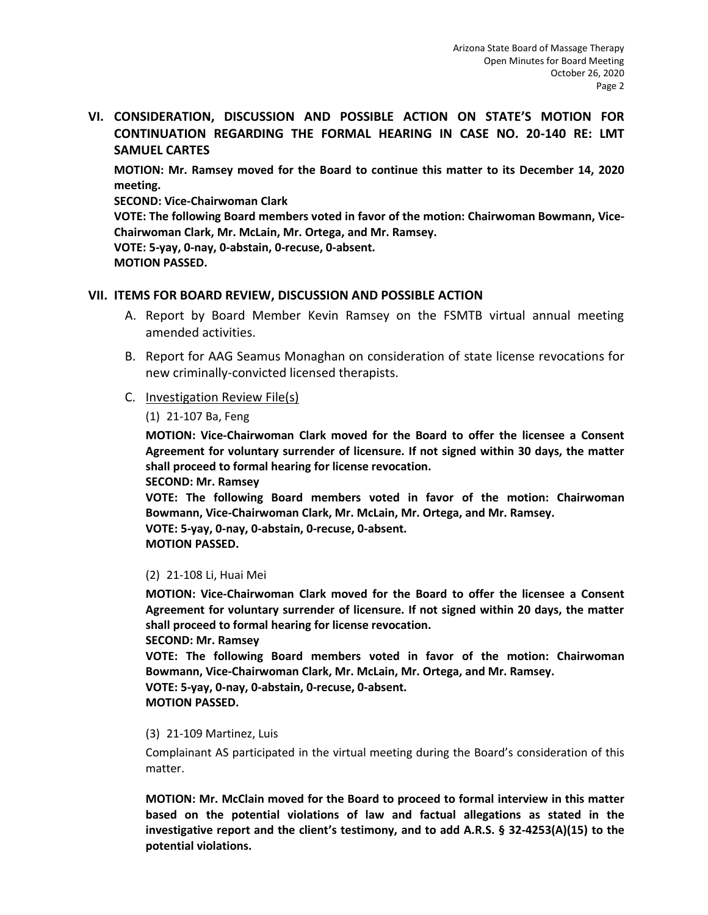**VI. CONSIDERATION, DISCUSSION AND POSSIBLE ACTION ON STATE'S MOTION FOR CONTINUATION REGARDING THE FORMAL HEARING IN CASE NO. 20-140 RE: LMT SAMUEL CARTES**

**MOTION: Mr. Ramsey moved for the Board to continue this matter to its December 14, 2020 meeting.** 

**SECOND: Vice-Chairwoman Clark** 

**VOTE: The following Board members voted in favor of the motion: Chairwoman Bowmann, Vice-Chairwoman Clark, Mr. McLain, Mr. Ortega, and Mr. Ramsey. VOTE: 5-yay, 0-nay, 0-abstain, 0-recuse, 0-absent.** 

**MOTION PASSED.** 

# **VII. ITEMS FOR BOARD REVIEW, DISCUSSION AND POSSIBLE ACTION**

- A. Report by Board Member Kevin Ramsey on the FSMTB virtual annual meeting amended activities.
- B. Report for AAG Seamus Monaghan on consideration of state license revocations for new criminally-convicted licensed therapists.
- C. Investigation Review File(s)

(1) 21-107 Ba, Feng

**MOTION: Vice-Chairwoman Clark moved for the Board to offer the licensee a Consent Agreement for voluntary surrender of licensure. If not signed within 30 days, the matter shall proceed to formal hearing for license revocation.** 

**SECOND: Mr. Ramsey** 

**VOTE: The following Board members voted in favor of the motion: Chairwoman Bowmann, Vice-Chairwoman Clark, Mr. McLain, Mr. Ortega, and Mr. Ramsey. VOTE: 5-yay, 0-nay, 0-abstain, 0-recuse, 0-absent.** 

**MOTION PASSED.** 

## (2) 21-108 Li, Huai Mei

**MOTION: Vice-Chairwoman Clark moved for the Board to offer the licensee a Consent Agreement for voluntary surrender of licensure. If not signed within 20 days, the matter shall proceed to formal hearing for license revocation.** 

**SECOND: Mr. Ramsey** 

**VOTE: The following Board members voted in favor of the motion: Chairwoman Bowmann, Vice-Chairwoman Clark, Mr. McLain, Mr. Ortega, and Mr. Ramsey.**

**VOTE: 5-yay, 0-nay, 0-abstain, 0-recuse, 0-absent.** 

**MOTION PASSED.** 

## (3) 21-109 Martinez, Luis

Complainant AS participated in the virtual meeting during the Board's consideration of this matter.

**MOTION: Mr. McClain moved for the Board to proceed to formal interview in this matter based on the potential violations of law and factual allegations as stated in the investigative report and the client's testimony, and to add A.R.S. § 32-4253(A)(15) to the potential violations.**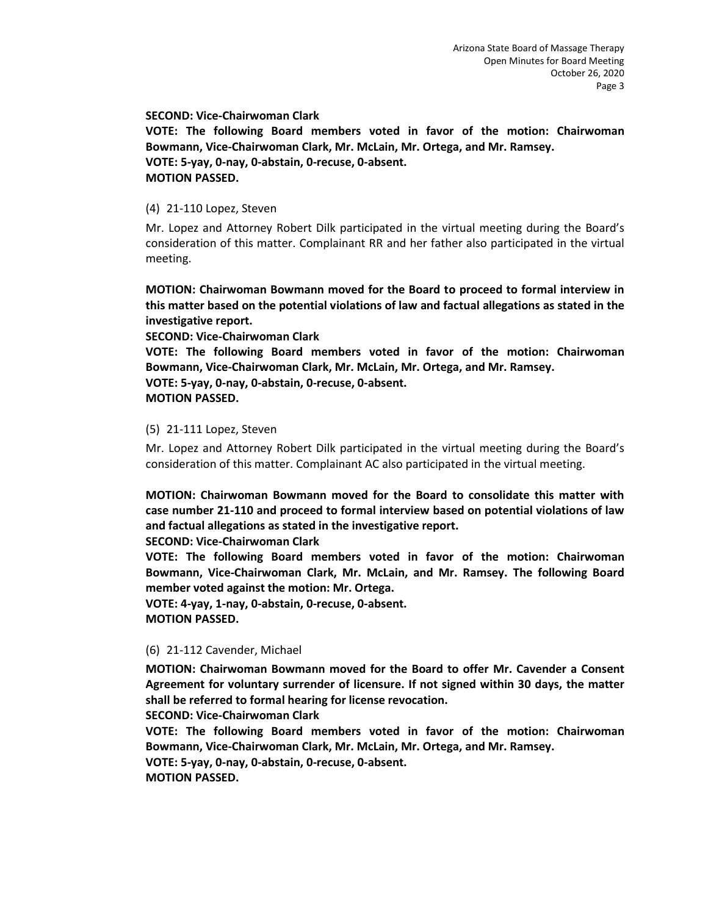#### **SECOND: Vice-Chairwoman Clark**

**VOTE: The following Board members voted in favor of the motion: Chairwoman Bowmann, Vice-Chairwoman Clark, Mr. McLain, Mr. Ortega, and Mr. Ramsey. VOTE: 5-yay, 0-nay, 0-abstain, 0-recuse, 0-absent. MOTION PASSED.** 

#### (4) 21-110 Lopez, Steven

Mr. Lopez and Attorney Robert Dilk participated in the virtual meeting during the Board's consideration of this matter. Complainant RR and her father also participated in the virtual meeting.

**MOTION: Chairwoman Bowmann moved for the Board to proceed to formal interview in this matter based on the potential violations of law and factual allegations as stated in the investigative report.** 

**SECOND: Vice-Chairwoman Clark** 

**VOTE: The following Board members voted in favor of the motion: Chairwoman Bowmann, Vice-Chairwoman Clark, Mr. McLain, Mr. Ortega, and Mr. Ramsey.**

**VOTE: 5-yay, 0-nay, 0-abstain, 0-recuse, 0-absent.** 

#### **MOTION PASSED.**

#### (5) 21-111 Lopez, Steven

Mr. Lopez and Attorney Robert Dilk participated in the virtual meeting during the Board's consideration of this matter. Complainant AC also participated in the virtual meeting.

**MOTION: Chairwoman Bowmann moved for the Board to consolidate this matter with case number 21-110 and proceed to formal interview based on potential violations of law and factual allegations as stated in the investigative report.** 

#### **SECOND: Vice-Chairwoman Clark**

**VOTE: The following Board members voted in favor of the motion: Chairwoman Bowmann, Vice-Chairwoman Clark, Mr. McLain, and Mr. Ramsey. The following Board member voted against the motion: Mr. Ortega.** 

**VOTE: 4-yay, 1-nay, 0-abstain, 0-recuse, 0-absent. MOTION PASSED.** 

#### (6) 21-112 Cavender, Michael

**MOTION: Chairwoman Bowmann moved for the Board to offer Mr. Cavender a Consent Agreement for voluntary surrender of licensure. If not signed within 30 days, the matter shall be referred to formal hearing for license revocation.** 

**SECOND: Vice-Chairwoman Clark** 

**VOTE: The following Board members voted in favor of the motion: Chairwoman Bowmann, Vice-Chairwoman Clark, Mr. McLain, Mr. Ortega, and Mr. Ramsey. VOTE: 5-yay, 0-nay, 0-abstain, 0-recuse, 0-absent. MOTION PASSED.**